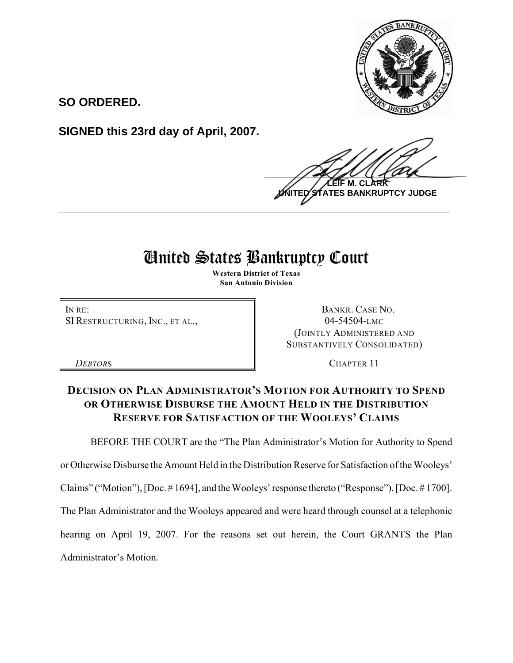

**SO ORDERED.**

**SIGNED this 23rd day of April, 2007.**

 $\frac{1}{2}$ **M. ES BANKRUPTCY JUDGE \_\_\_\_\_\_\_\_\_\_\_\_\_\_\_\_\_\_\_\_\_\_\_\_\_\_\_\_\_\_\_\_\_\_\_\_\_\_\_\_\_\_\_\_\_\_\_\_\_\_\_\_\_\_\_\_\_\_\_\_**

## United States Bankruptcy Court

**Western District of Texas San Antonio Division**

IN RE: SI RESTRUCTURING, INC., ET AL.,

BANKR. CASE NO. 04-54504-LMC (JOINTLY ADMINISTERED AND SUBSTANTIVELY CONSOLIDATED)

*DEBTORS* CHAPTER 11

## **DECISION ON PLAN ADMINISTRATOR'S MOTION FOR AUTHORITY TO SPEND OR OTHERWISE DISBURSE THE AMOUNT HELD IN THE DISTRIBUTION RESERVE FOR SATISFACTION OF THE WOOLEYS' CLAIMS**

BEFORE THE COURT are the "The Plan Administrator's Motion for Authority to Spend

or Otherwise Disburse the Amount Held in the Distribution Reserve for Satisfaction of the Wooleys'

Claims" ("Motion"), [Doc. # 1694], and the Wooleys' response thereto ("Response"). [Doc. # 1700].

The Plan Administrator and the Wooleys appeared and were heard through counsel at a telephonic

hearing on April 19, 2007. For the reasons set out herein, the Court GRANTS the Plan

Administrator's Motion.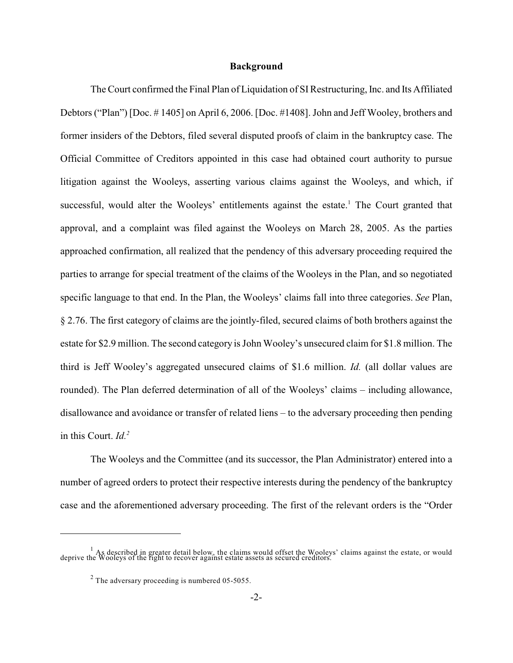## **Background**

The Court confirmed the Final Plan of Liquidation of SI Restructuring, Inc. and Its Affiliated Debtors ("Plan") [Doc. # 1405] on April 6, 2006. [Doc. #1408]. John and Jeff Wooley, brothers and former insiders of the Debtors, filed several disputed proofs of claim in the bankruptcy case. The Official Committee of Creditors appointed in this case had obtained court authority to pursue litigation against the Wooleys, asserting various claims against the Wooleys, and which, if successful, would alter the Wooleys' entitlements against the estate.<sup>1</sup> The Court granted that approval, and a complaint was filed against the Wooleys on March 28, 2005. As the parties approached confirmation, all realized that the pendency of this adversary proceeding required the parties to arrange for special treatment of the claims of the Wooleys in the Plan, and so negotiated specific language to that end. In the Plan, the Wooleys' claims fall into three categories. *See* Plan, § 2.76. The first category of claims are the jointly-filed, secured claims of both brothers against the estate for \$2.9 million. The second category is John Wooley's unsecured claim for \$1.8 million. The third is Jeff Wooley's aggregated unsecured claims of \$1.6 million. *Id.* (all dollar values are rounded). The Plan deferred determination of all of the Wooleys' claims – including allowance, disallowance and avoidance or transfer of related liens – to the adversary proceeding then pending in this Court. *Id.<sup>2</sup>*

The Wooleys and the Committee (and its successor, the Plan Administrator) entered into a number of agreed orders to protect their respective interests during the pendency of the bankruptcy case and the aforementioned adversary proceeding. The first of the relevant orders is the "Order

<sup>&</sup>lt;sup>1</sup> As described in greater detail below, the claims would offset the Wooleys' claims against the estate, or would deprive the Wooleys of the right to recover against estate assets as secured creditors.

 $2$  The adversary proceeding is numbered 05-5055.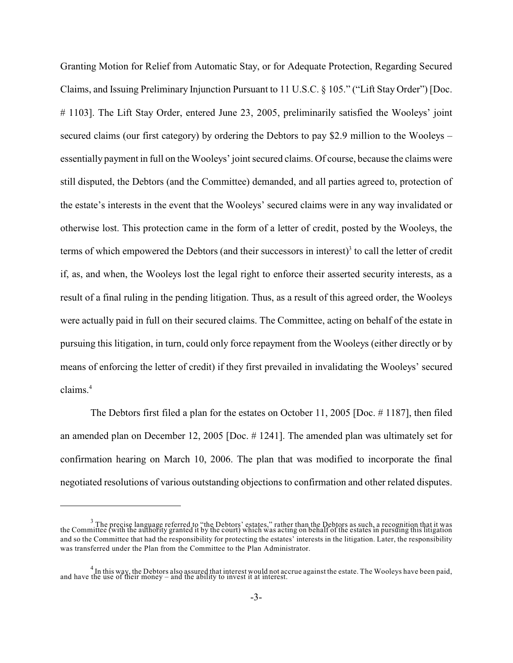Granting Motion for Relief from Automatic Stay, or for Adequate Protection, Regarding Secured Claims, and Issuing Preliminary Injunction Pursuant to 11 U.S.C. § 105." ("Lift Stay Order") [Doc. # 1103]. The Lift Stay Order, entered June 23, 2005, preliminarily satisfied the Wooleys' joint secured claims (our first category) by ordering the Debtors to pay \$2.9 million to the Wooleys – essentially payment in full on the Wooleys' joint secured claims. Of course, because the claims were still disputed, the Debtors (and the Committee) demanded, and all parties agreed to, protection of the estate's interests in the event that the Wooleys' secured claims were in any way invalidated or otherwise lost. This protection came in the form of a letter of credit, posted by the Wooleys, the terms of which empowered the Debtors (and their successors in interest) $3$  to call the letter of credit if, as, and when, the Wooleys lost the legal right to enforce their asserted security interests, as a result of a final ruling in the pending litigation. Thus, as a result of this agreed order, the Wooleys were actually paid in full on their secured claims. The Committee, acting on behalf of the estate in pursuing this litigation, in turn, could only force repayment from the Wooleys (either directly or by means of enforcing the letter of credit) if they first prevailed in invalidating the Wooleys' secured claims. 4

The Debtors first filed a plan for the estates on October 11, 2005 [Doc. # 1187], then filed an amended plan on December 12, 2005 [Doc. # 1241]. The amended plan was ultimately set for confirmation hearing on March 10, 2006. The plan that was modified to incorporate the final negotiated resolutions of various outstanding objections to confirmation and other related disputes.

 $\frac{3}{2}$ . The pregise language referred to "the Debtors' estates," rather than the Debtors as such, a recognition that it was the Committee (with the authority granted it by the court) which was acting on behalf of the estates in pursuing this litigation and so the Committee that had the responsibility for protecting the estates' interests in the litigation. Later, the responsibility was transferred under the Plan from the Committee to the Plan Administrator.

<sup>&</sup>lt;sup>4</sup> In this way, the Debtors also assured that interest would not accrue against the estate. The Wooleys have been paid, and have the use of their money – and the ability to invest it at interest.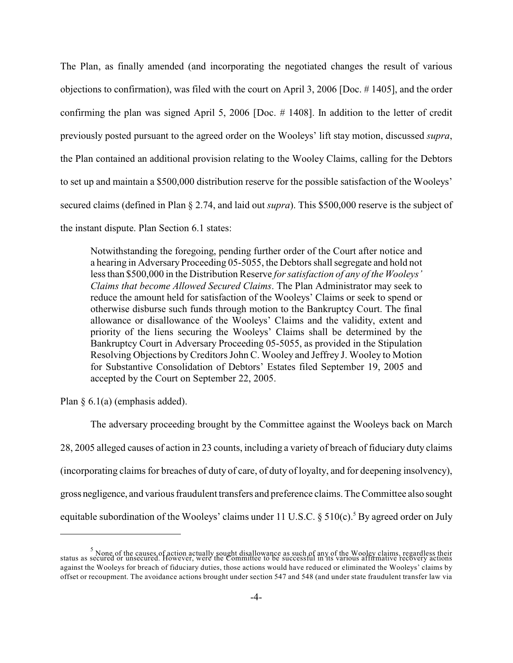The Plan, as finally amended (and incorporating the negotiated changes the result of various objections to confirmation), was filed with the court on April 3, 2006 [Doc. # 1405], and the order confirming the plan was signed April 5, 2006 [Doc. # 1408]. In addition to the letter of credit previously posted pursuant to the agreed order on the Wooleys' lift stay motion, discussed *supra*, the Plan contained an additional provision relating to the Wooley Claims, calling for the Debtors to set up and maintain a \$500,000 distribution reserve for the possible satisfaction of the Wooleys' secured claims (defined in Plan § 2.74, and laid out *supra*). This \$500,000 reserve is the subject of the instant dispute. Plan Section 6.1 states:

Notwithstanding the foregoing, pending further order of the Court after notice and a hearing in Adversary Proceeding 05-5055, the Debtors shall segregate and hold not less than \$500,000 in the Distribution Reserve *for satisfaction of any of the Wooleys' Claims that become Allowed Secured Claims*. The Plan Administrator may seek to reduce the amount held for satisfaction of the Wooleys' Claims or seek to spend or otherwise disburse such funds through motion to the Bankruptcy Court. The final allowance or disallowance of the Wooleys' Claims and the validity, extent and priority of the liens securing the Wooleys' Claims shall be determined by the Bankruptcy Court in Adversary Proceeding 05-5055, as provided in the Stipulation Resolving Objections by Creditors John C. Wooley and Jeffrey J. Wooley to Motion for Substantive Consolidation of Debtors' Estates filed September 19, 2005 and accepted by the Court on September 22, 2005.

Plan  $\S$  6.1(a) (emphasis added).

The adversary proceeding brought by the Committee against the Wooleys back on March 28, 2005 alleged causes of action in 23 counts, including a variety of breach of fiduciary duty claims (incorporating claims for breaches of duty of care, of duty of loyalty, and for deepening insolvency), gross negligence, and various fraudulent transfers and preference claims. The Committee also sought equitable subordination of the Wooleys' claims under 11 U.S.C.  $\S 510(c)$ . By agreed order on July

<sup>&</sup>lt;sup>5</sup> None of the causes of action actually sought disallowance as such of any of the Wooley claims, regardless their<br>status as secured or unsecured. However, were the Committee to be successful in its various affirmative re against the Wooleys for breach of fiduciary duties, those actions would have reduced or eliminated the Wooleys' claims by offset or recoupment. The avoidance actions brought under section 547 and 548 (and under state fraudulent transfer law via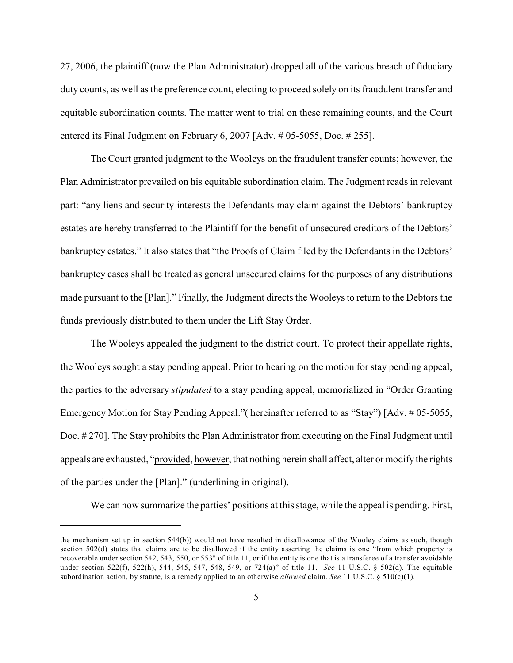27, 2006, the plaintiff (now the Plan Administrator) dropped all of the various breach of fiduciary duty counts, as well as the preference count, electing to proceed solely on its fraudulent transfer and equitable subordination counts. The matter went to trial on these remaining counts, and the Court entered its Final Judgment on February 6, 2007 [Adv. # 05-5055, Doc. # 255].

The Court granted judgment to the Wooleys on the fraudulent transfer counts; however, the Plan Administrator prevailed on his equitable subordination claim. The Judgment reads in relevant part: "any liens and security interests the Defendants may claim against the Debtors' bankruptcy estates are hereby transferred to the Plaintiff for the benefit of unsecured creditors of the Debtors' bankruptcy estates." It also states that "the Proofs of Claim filed by the Defendants in the Debtors' bankruptcy cases shall be treated as general unsecured claims for the purposes of any distributions made pursuant to the [Plan]." Finally, the Judgment directs the Wooleys to return to the Debtors the funds previously distributed to them under the Lift Stay Order.

The Wooleys appealed the judgment to the district court. To protect their appellate rights, the Wooleys sought a stay pending appeal. Prior to hearing on the motion for stay pending appeal, the parties to the adversary *stipulated* to a stay pending appeal, memorialized in "Order Granting Emergency Motion for Stay Pending Appeal."( hereinafter referred to as "Stay") [Adv. # 05-5055, Doc. # 270]. The Stay prohibits the Plan Administrator from executing on the Final Judgment until appeals are exhausted, "provided, however, that nothing herein shall affect, alter or modify the rights of the parties under the [Plan]." (underlining in original).

We can now summarize the parties' positions at this stage, while the appeal is pending. First,

the mechanism set up in section 544(b)) would not have resulted in disallowance of the Wooley claims as such, though section 502(d) states that claims are to be disallowed if the entity asserting the claims is one "from which property is recoverable under section 542, 543, 550, or 553" of title 11, or if the entity is one that is a transferee of a transfer avoidable under section 522(f), 522(h), 544, 545, 547, 548, 549, or 724(a)" of title 11. *See* 11 U.S.C. § 502(d). The equitable subordination action, by statute, is a remedy applied to an otherwise *allowed* claim. *See* 11 U.S.C. § 510(c)(1).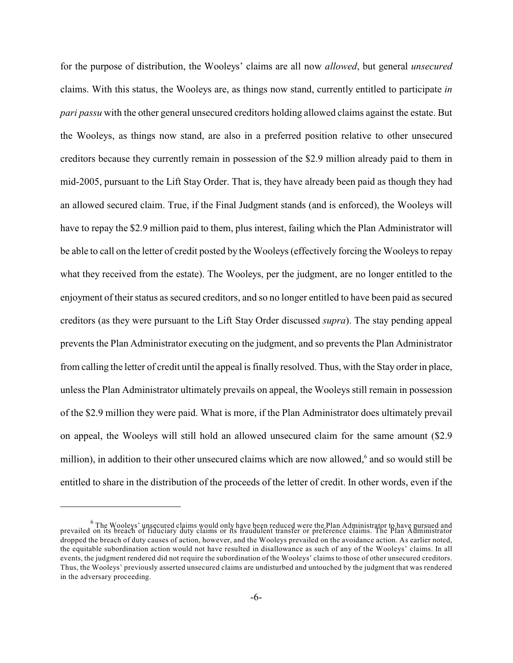for the purpose of distribution, the Wooleys' claims are all now *allowed*, but general *unsecured* claims. With this status, the Wooleys are, as things now stand, currently entitled to participate *in pari passu* with the other general unsecured creditors holding allowed claims against the estate. But the Wooleys, as things now stand, are also in a preferred position relative to other unsecured creditors because they currently remain in possession of the \$2.9 million already paid to them in mid-2005, pursuant to the Lift Stay Order. That is, they have already been paid as though they had an allowed secured claim. True, if the Final Judgment stands (and is enforced), the Wooleys will have to repay the \$2.9 million paid to them, plus interest, failing which the Plan Administrator will be able to call on the letter of credit posted by the Wooleys (effectively forcing the Wooleys to repay what they received from the estate). The Wooleys, per the judgment, are no longer entitled to the enjoyment of their status as secured creditors, and so no longer entitled to have been paid as secured creditors (as they were pursuant to the Lift Stay Order discussed *supra*). The stay pending appeal prevents the Plan Administrator executing on the judgment, and so prevents the Plan Administrator from calling the letter of credit until the appeal is finally resolved. Thus, with the Stay order in place, unless the Plan Administrator ultimately prevails on appeal, the Wooleys still remain in possession of the \$2.9 million they were paid. What is more, if the Plan Administrator does ultimately prevail on appeal, the Wooleys will still hold an allowed unsecured claim for the same amount (\$2.9 million), in addition to their other unsecured claims which are now allowed,<sup>6</sup> and so would still be entitled to share in the distribution of the proceeds of the letter of credit. In other words, even if the

<sup>&</sup>lt;sup>6</sup> The Wooleys' unsecured claims would only have been reduced were the Plan Administrator to have pursued and<br>prevailed on its breach of fiduciary duty claims or its fraudulent transfer or preference claims. The Plan Admi dropped the breach of duty causes of action, however, and the Wooleys prevailed on the avoidance action. As earlier noted, the equitable subordination action would not have resulted in disallowance as such of any of the Wooleys' claims. In all events, the judgment rendered did not require the subordination of the Wooleys' claims to those of other unsecured creditors. Thus, the Wooleys' previously asserted unsecured claims are undisturbed and untouched by the judgment that was rendered in the adversary proceeding.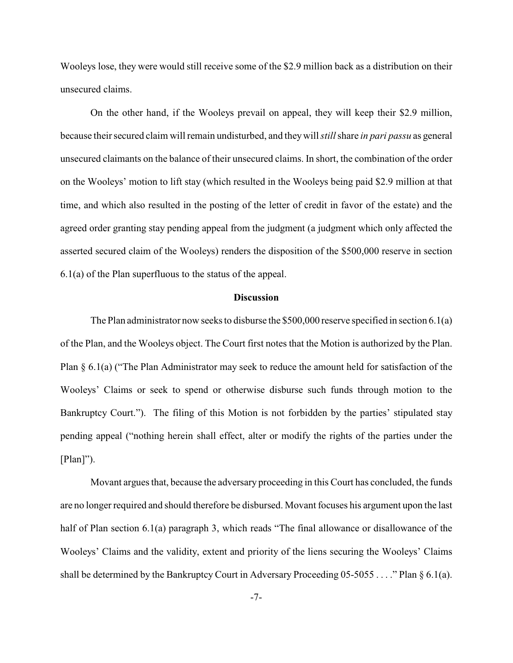Wooleys lose, they were would still receive some of the \$2.9 million back as a distribution on their unsecured claims.

On the other hand, if the Wooleys prevail on appeal, they will keep their \$2.9 million, because theirsecured claim will remain undisturbed, and they will *still* share *in pari passu* as general unsecured claimants on the balance of their unsecured claims. In short, the combination of the order on the Wooleys' motion to lift stay (which resulted in the Wooleys being paid \$2.9 million at that time, and which also resulted in the posting of the letter of credit in favor of the estate) and the agreed order granting stay pending appeal from the judgment (a judgment which only affected the asserted secured claim of the Wooleys) renders the disposition of the \$500,000 reserve in section 6.1(a) of the Plan superfluous to the status of the appeal.

## **Discussion**

The Plan administrator now seeks to disburse the \$500,000 reserve specified in section 6.1(a) of the Plan, and the Wooleys object. The Court first notes that the Motion is authorized by the Plan. Plan § 6.1(a) ("The Plan Administrator may seek to reduce the amount held for satisfaction of the Wooleys' Claims or seek to spend or otherwise disburse such funds through motion to the Bankruptcy Court."). The filing of this Motion is not forbidden by the parties' stipulated stay pending appeal ("nothing herein shall effect, alter or modify the rights of the parties under the  $[Plan]'$ ).

Movant argues that, because the adversary proceeding in this Court has concluded, the funds are no longer required and should therefore be disbursed. Movant focuses his argument upon the last half of Plan section 6.1(a) paragraph 3, which reads "The final allowance or disallowance of the Wooleys' Claims and the validity, extent and priority of the liens securing the Wooleys' Claims shall be determined by the Bankruptcy Court in Adversary Proceeding 05-5055 . . . ." Plan § 6.1(a).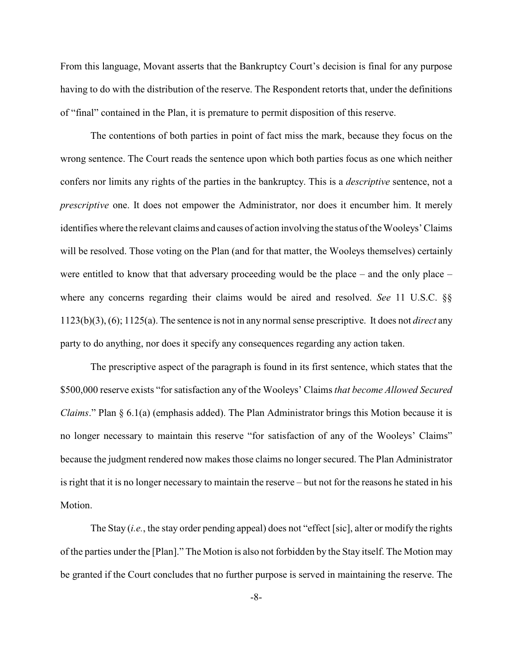From this language, Movant asserts that the Bankruptcy Court's decision is final for any purpose having to do with the distribution of the reserve. The Respondent retorts that, under the definitions of "final" contained in the Plan, it is premature to permit disposition of this reserve.

The contentions of both parties in point of fact miss the mark, because they focus on the wrong sentence. The Court reads the sentence upon which both parties focus as one which neither confers nor limits any rights of the parties in the bankruptcy. This is a *descriptive* sentence, not a *prescriptive* one. It does not empower the Administrator, nor does it encumber him. It merely identifies where the relevant claims and causes of action involving the status of the Wooleys' Claims will be resolved. Those voting on the Plan (and for that matter, the Wooleys themselves) certainly were entitled to know that that adversary proceeding would be the place – and the only place – where any concerns regarding their claims would be aired and resolved. *See* 11 U.S.C. §§ 1123(b)(3), (6); 1125(a). The sentence is not in any normal sense prescriptive. It does not *direct* any party to do anything, nor does it specify any consequences regarding any action taken.

The prescriptive aspect of the paragraph is found in its first sentence, which states that the \$500,000 reserve exists "for satisfaction any of the Wooleys' Claims *that become Allowed Secured Claims*." Plan § 6.1(a) (emphasis added). The Plan Administrator brings this Motion because it is no longer necessary to maintain this reserve "for satisfaction of any of the Wooleys' Claims" because the judgment rendered now makes those claims no longer secured. The Plan Administrator is right that it is no longer necessary to maintain the reserve – but not for the reasons he stated in his Motion.

The Stay (*i.e.*, the stay order pending appeal) does not "effect [sic], alter or modify the rights of the parties under the [Plan]." The Motion is also not forbidden by the Stay itself. The Motion may be granted if the Court concludes that no further purpose is served in maintaining the reserve. The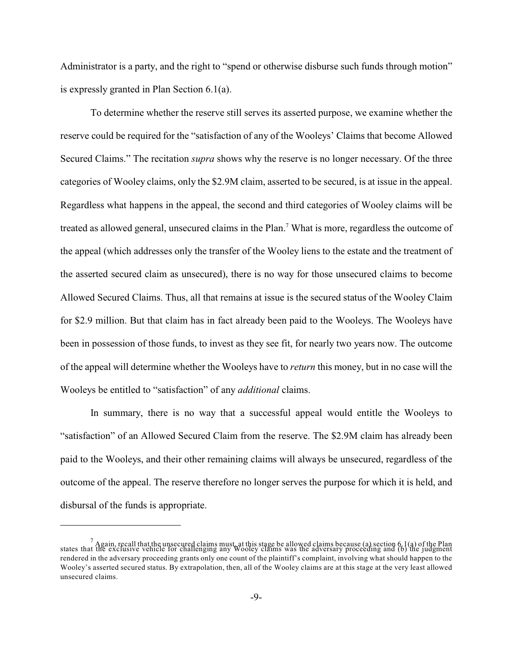Administrator is a party, and the right to "spend or otherwise disburse such funds through motion" is expressly granted in Plan Section 6.1(a).

To determine whether the reserve still serves its asserted purpose, we examine whether the reserve could be required for the "satisfaction of any of the Wooleys' Claims that become Allowed Secured Claims." The recitation *supra* shows why the reserve is no longer necessary. Of the three categories of Wooley claims, only the \$2.9M claim, asserted to be secured, is at issue in the appeal. Regardless what happens in the appeal, the second and third categories of Wooley claims will be treated as allowed general, unsecured claims in the Plan.<sup>7</sup> What is more, regardless the outcome of the appeal (which addresses only the transfer of the Wooley liens to the estate and the treatment of the asserted secured claim as unsecured), there is no way for those unsecured claims to become Allowed Secured Claims. Thus, all that remains at issue is the secured status of the Wooley Claim for \$2.9 million. But that claim has in fact already been paid to the Wooleys. The Wooleys have been in possession of those funds, to invest as they see fit, for nearly two years now. The outcome of the appeal will determine whether the Wooleys have to *return* this money, but in no case will the Wooleys be entitled to "satisfaction" of any *additional* claims.

In summary, there is no way that a successful appeal would entitle the Wooleys to "satisfaction" of an Allowed Secured Claim from the reserve. The \$2.9M claim has already been paid to the Wooleys, and their other remaining claims will always be unsecured, regardless of the outcome of the appeal. The reserve therefore no longer serves the purpose for which it is held, and disbursal of the funds is appropriate.

 $^7$  Again, recall that the unsecured claims must, at this stage be allowed claims because (a) section 6.1(a) of the Plan states that the exclusive vehicle for challenging any Wooley claims was the adversary proceeding and (b) the judgment rendered in the adversary proceeding grants only one count of the plaintiff's complaint, involving what should happen to the Wooley's asserted secured status. By extrapolation, then, all of the Wooley claims are at this stage at the very least allowed unsecured claims.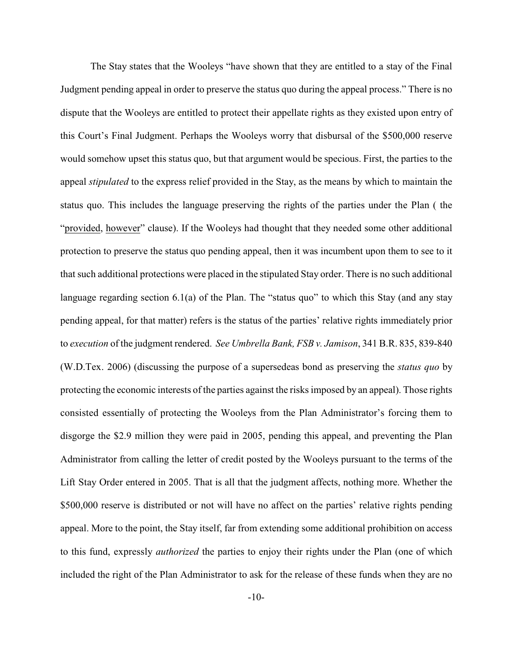The Stay states that the Wooleys "have shown that they are entitled to a stay of the Final Judgment pending appeal in order to preserve the status quo during the appeal process." There is no dispute that the Wooleys are entitled to protect their appellate rights as they existed upon entry of this Court's Final Judgment. Perhaps the Wooleys worry that disbursal of the \$500,000 reserve would somehow upset this status quo, but that argument would be specious. First, the parties to the appeal *stipulated* to the express relief provided in the Stay, as the means by which to maintain the status quo. This includes the language preserving the rights of the parties under the Plan ( the "provided, however" clause). If the Wooleys had thought that they needed some other additional protection to preserve the status quo pending appeal, then it was incumbent upon them to see to it that such additional protections were placed in the stipulated Stay order. There is no such additional language regarding section  $6.1(a)$  of the Plan. The "status quo" to which this Stay (and any stay pending appeal, for that matter) refers is the status of the parties' relative rights immediately prior to *execution* of the judgment rendered. *See Umbrella Bank, FSB v. Jamison*, 341 B.R. 835, 839-840 (W.D.Tex. 2006) (discussing the purpose of a supersedeas bond as preserving the *status quo* by protecting the economic interests of the parties against the risks imposed by an appeal). Those rights consisted essentially of protecting the Wooleys from the Plan Administrator's forcing them to disgorge the \$2.9 million they were paid in 2005, pending this appeal, and preventing the Plan Administrator from calling the letter of credit posted by the Wooleys pursuant to the terms of the Lift Stay Order entered in 2005. That is all that the judgment affects, nothing more. Whether the \$500,000 reserve is distributed or not will have no affect on the parties' relative rights pending appeal. More to the point, the Stay itself, far from extending some additional prohibition on access to this fund, expressly *authorized* the parties to enjoy their rights under the Plan (one of which included the right of the Plan Administrator to ask for the release of these funds when they are no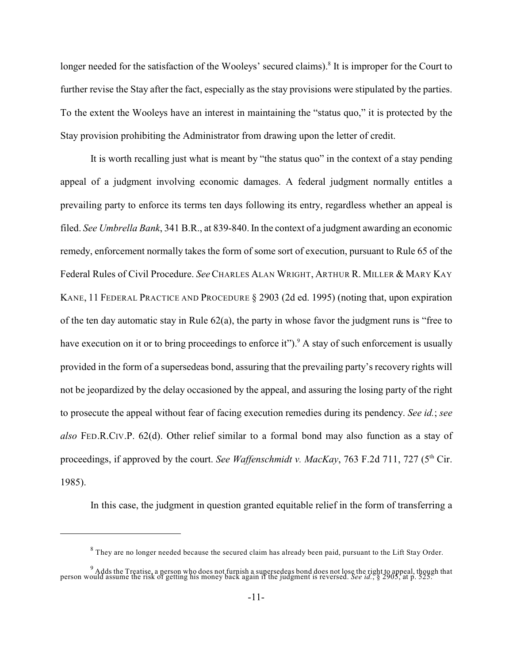longer needed for the satisfaction of the Wooleys' secured claims).<sup>8</sup> It is improper for the Court to further revise the Stay after the fact, especially as the stay provisions were stipulated by the parties. To the extent the Wooleys have an interest in maintaining the "status quo," it is protected by the Stay provision prohibiting the Administrator from drawing upon the letter of credit.

It is worth recalling just what is meant by "the status quo" in the context of a stay pending appeal of a judgment involving economic damages. A federal judgment normally entitles a prevailing party to enforce its terms ten days following its entry, regardless whether an appeal is filed. *See Umbrella Bank*, 341 B.R., at 839-840.In the context of a judgment awarding an economic remedy, enforcement normally takes the form of some sort of execution, pursuant to Rule 65 of the Federal Rules of Civil Procedure. *See*CHARLES ALAN WRIGHT, ARTHUR R. MILLER & MARY KAY KANE, 11 FEDERAL PRACTICE AND PROCEDURE § 2903 (2d ed. 1995) (noting that, upon expiration of the ten day automatic stay in Rule  $62(a)$ , the party in whose favor the judgment runs is "free to have execution on it or to bring proceedings to enforce it").<sup>9</sup> A stay of such enforcement is usually provided in the form of a supersedeas bond, assuring that the prevailing party's recovery rights will not be jeopardized by the delay occasioned by the appeal, and assuring the losing party of the right to prosecute the appeal without fear of facing execution remedies during its pendency. *See id.*; *see also* FED.R.CIV.P. 62(d). Other relief similar to a formal bond may also function as a stay of proceedings, if approved by the court. See Waffenschmidt v. MacKay, 763 F.2d 711, 727 (5<sup>th</sup> Cir. 1985).

In this case, the judgment in question granted equitable relief in the form of transferring a

 $8$  They are no longer needed because the secured claim has already been paid, pursuant to the Lift Stay Order.

<sup>&</sup>lt;sup>9</sup> Adds the Treatise, a person who does not furnish a supersedeas bond does not lose the right to appeal, though that<br>person would assume the risk of getting his money back again if the judgment is reversed. See id., § 29